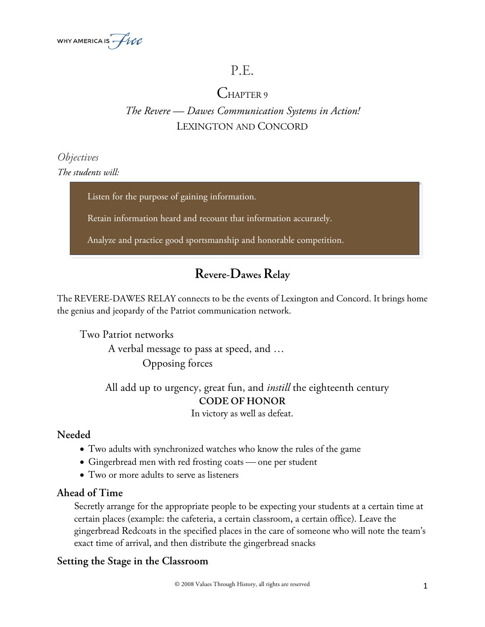

# P.E.

# CHAPTER 9

# *The Revere — Dawes Communication Systems in Action!* LEXINGTON AND CONCORD

## *Objectives The students will:*

Listen for the purpose of gaining information.

meter, and rhyme as memorization aids.

Retain information heard and recount that information accurately.

Analyze and practice good sportsmanship and honorable competition.

# **Revere-Dawes Relay**

The REVERE-DAWES RELAY connects to be the events of Lexington and Concord. It brings home the genius and jeopardy of the Patriot communication network.

Two Patriot networks A verbal message to pass at speed, and … Opposing forces

> All add up to urgency, great fun, and *instill* the eighteenth century **CODE OF HONOR**

In victory as well as defeat.

### **Needed**

- Two adults with synchronized watches who know the rules of the game
- Gingerbread men with red frosting coats one per student
- Two or more adults to serve as listeners

### **Ahead of Time**

Secretly arrange for the appropriate people to be expecting your students at a certain time at certain places (example: the cafeteria, a certain classroom, a certain office). Leave the gingerbread Redcoats in the specified places in the care of someone who will note the team's exact time of arrival, and then distribute the gingerbread snacks

### **Setting the Stage in the Classroom**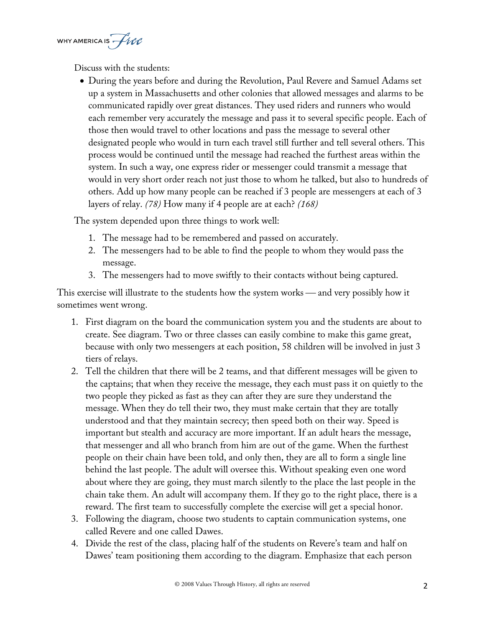WHY AMERICA IS  $\mathcal{H}$ 

Discuss with the students:

• During the years before and during the Revolution, Paul Revere and Samuel Adams set up a system in Massachusetts and other colonies that allowed messages and alarms to be communicated rapidly over great distances. They used riders and runners who would each remember very accurately the message and pass it to several specific people. Each of those then would travel to other locations and pass the message to several other designated people who would in turn each travel still further and tell several others. This process would be continued until the message had reached the furthest areas within the system. In such a way, one express rider or messenger could transmit a message that would in very short order reach not just those to whom he talked, but also to hundreds of others. Add up how many people can be reached if 3 people are messengers at each of 3 layers of relay. *(78)* How many if 4 people are at each? *(168)*

The system depended upon three things to work well:

- 1. The message had to be remembered and passed on accurately.
- 2. The messengers had to be able to find the people to whom they would pass the message.
- 3. The messengers had to move swiftly to their contacts without being captured.

This exercise will illustrate to the students how the system works — and very possibly how it sometimes went wrong.

- 1. First diagram on the board the communication system you and the students are about to create. See diagram. Two or three classes can easily combine to make this game great, because with only two messengers at each position, 58 children will be involved in just 3 tiers of relays.
- 2. Tell the children that there will be 2 teams, and that different messages will be given to the captains; that when they receive the message, they each must pass it on quietly to the two people they picked as fast as they can after they are sure they understand the message. When they do tell their two, they must make certain that they are totally understood and that they maintain secrecy; then speed both on their way. Speed is important but stealth and accuracy are more important. If an adult hears the message, that messenger and all who branch from him are out of the game. When the furthest people on their chain have been told, and only then, they are all to form a single line behind the last people. The adult will oversee this. Without speaking even one word about where they are going, they must march silently to the place the last people in the chain take them. An adult will accompany them. If they go to the right place, there is a reward. The first team to successfully complete the exercise will get a special honor.
- 3. Following the diagram, choose two students to captain communication systems, one called Revere and one called Dawes.
- 4. Divide the rest of the class, placing half of the students on Revere's team and half on Dawes' team positioning them according to the diagram. Emphasize that each person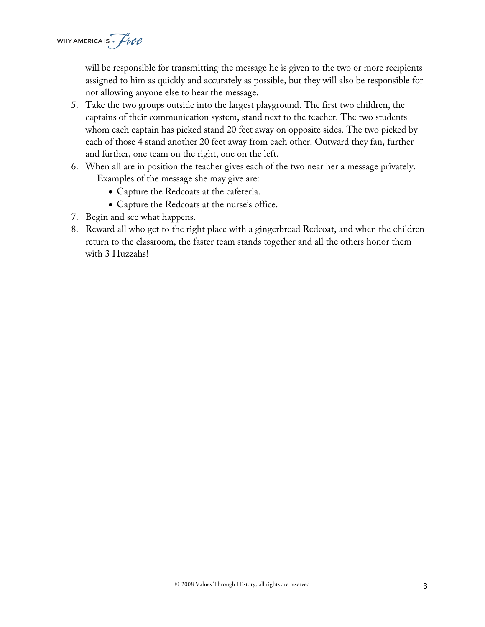WHY AMERICA IS  $\mathcal{H}$ 

will be responsible for transmitting the message he is given to the two or more recipients assigned to him as quickly and accurately as possible, but they will also be responsible for not allowing anyone else to hear the message.

- 5. Take the two groups outside into the largest playground. The first two children, the captains of their communication system, stand next to the teacher. The two students whom each captain has picked stand 20 feet away on opposite sides. The two picked by each of those 4 stand another 20 feet away from each other. Outward they fan, further and further, one team on the right, one on the left.
- 6. When all are in position the teacher gives each of the two near her a message privately. Examples of the message she may give are:
	- Capture the Redcoats at the cafeteria.
	- Capture the Redcoats at the nurse's office.
- 7. Begin and see what happens.
- 8. Reward all who get to the right place with a gingerbread Redcoat, and when the children return to the classroom, the faster team stands together and all the others honor them with 3 Huzzahs!